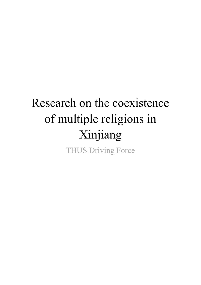# Research on the coexistence of multiple religions in Xinjiang

THUS Driving Force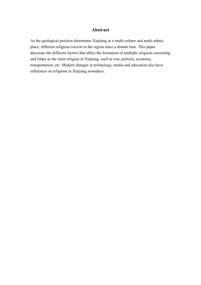#### **Abstract**

As the geological position determines Xinjiang in a multi-culture and multi-ethnic place, different religions coexist in the region since a distant time. This paper discusses the different factors that affect the formation of multiple religions coexisting and Islam as the main religion in Xinjiang, such as war, policies, economy, transportation, etc. Modern changes in technology, media and education also have influences on religions in Xinjiang nowadays.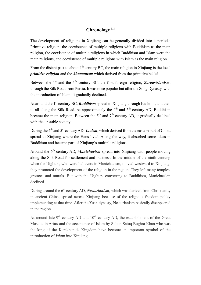# **Chronology [1]**

The development of religions in Xinjiang can be generally divided into 4 periods: Primitive religion, the coexistence of multiple religions with Buddhism as the main religion, the coexistence of multiple religions in which Buddhism and Islam were the main religions, and coexistence of multiple religions with Islam as the main religion.

From the distant past to about  $4<sup>th</sup>$  century BC, the main religion in Xinijang is the local *primitive religion* and the *Shamanism* which derived from the primitive belief.

Between the 1<sup>st</sup> and the 5<sup>th</sup> century BC, the first foreign religion, **Zoroastrianism**, through the Silk Road from Persia. It was once popular but after the Song Dynasty, with the introduction of Islam, it gradually declined.

At around the 1<sup>st</sup> century BC, **Buddhism** spread to Xinjiang through Kashmir, and then to all along the Silk Road. At approximately the  $4<sup>th</sup>$  and  $5<sup>th</sup>$  century AD, Buddhism became the main religion. Between the  $5<sup>th</sup>$  and  $7<sup>th</sup>$  century AD, it gradually declined with the unstable society.

During the 4<sup>th</sup> and 5<sup>th</sup> century AD, *Taoism*, which derived from the eastern part of China, spread to Xinjiang where the Hans lived. Along the way, it absorbed some ideas in Buddhism and became part of Xinjiang's multiple religions.

Around the 6<sup>th</sup> century AD, *Manichaeism* spread into Xinjiang with people moving along the Silk Road for settlement and business. In the middle of the ninth century, when the Uighurs, who were believers in Manichaeism, moved westward to Xinjiang, they promoted the development of the religion in the region. They left many temples, grottoes and murals. But with the Uighurs converting to Buddhism, Manichaeism declined.

During around the 6<sup>th</sup> century AD, *Nestorianism*, which was derived from Christianity in ancient China, spread across Xinjiang because of the religious freedom policy implementing at that time. After the Yuan dynasty, Nestorianism basically disappeared in the region.

At around late  $9<sup>th</sup>$  century AD and  $10<sup>th</sup>$  century AD, the establishment of the Great Mosque in Artux and the acceptance of Islam by Sultan Satuq Bughra Khan who was the king of the Karakhanids Kingdom have become an important symbol of the introduction of *Islam* into Xinjiang.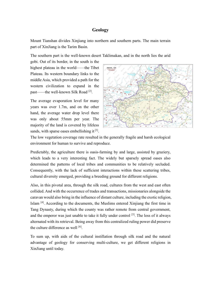#### **Geology**

Mount Tianshan divides Xinjiang into northern and southern parts. The main terrain part of XinJiang is the Tarim Basin.

The southern part is the well-known desert Taklimakan, and in the north lies the arid

gobi. Out of its border, in the south is the highest plateau in the world——the Tibet Plateau. Its western boundary links to the middle Asia, which provided a path for the western civilization to expand in the past——the well-known Silk Road<sup>[2]</sup>.

The average evaporation level for many years was over 1.7m, and on the other hand, the average water drop level there was only about 55mm per year. The majority of the land is covered by lifeless sands, with sparse oases embellishing it  $[3]$ .



The low vegetation coverage rate resulted in the generally fragile and harsh ecological environment for human to survive and reproduce.

Predictably, the agriculture there is oasis-farming by and large, assisted by graziery, which leads to a very interesting fact. The widely but sparsely spread oases also determined the patterns of local tribes and communities to be relatively secluded. Consequently, with the lack of sufficient interactions within these scattering tribes, cultural diversity emerged, providing a breeding ground for different religions.

Also, in this pivotal area, through the silk road, cultures from the west and east often collided. And with the occurrence of trades and transactions, missionaries alongside the caravan would also bring in the influence of distant culture, including the exotic religion, Islam [4]. According to the documents, the Muslims entered Xinjiang the first time in Tang Dynasty, during which the county was rather remote from central government, and the emperor was just unable to take it fully under control  $[5]$ . The loss of it always alternated with its retrieval. Being away from this centralized ruling power did preserve the culture difference as well [6].

To sum up, with aids of the cultural instillation through silk road and the natural advantage of geology for conserving multi-culture, we get different religions in XinJiang until today.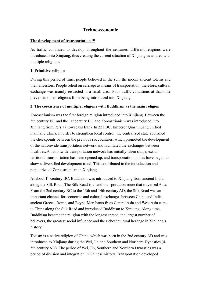## **Techno-economic**

#### **The development of transportation [1]**

As traffic continued to develop throughout the centuries, different religions were introduced into Xinjiang, thus creating the current situation of Xinjiang as an area with multiple religions.

#### **1. Primitive religion**

During this period of time, people believed in the sun, the moon, ancient totems and their ancestors. People relied on carriage as means of transportation; therefore, cultural exchange was mainly restricted in a small area. Poor traffic conditions at that time prevented other religions from being introduced into Xinjiang.

#### **2. The coexistence of multiple religions with Buddhism as the main religion**

Zoroastrianism was the first foreign religion introduced into Xinjiang. Between the 5th century BC and the 1st century BC, the Zoroastrianism was introduced into Xinjiang from Persia (nowadays Iran). In 221 BC, Emperor Qinshihuang unified mainland China. In order to strengthen local control, the centralized state abolished the checkpoints between the previous six countries, which promoted the development of the nationwide transportation network and facilitated the exchanges between localities. A nationwide transportation network has initially taken shape, extraterritorial transportation has been opened up, and transportation modes have begun to show a diversified development trend. This contributed to the introduction and popularize of Zoroastrianism in Xinjiang.

At about  $1<sup>st</sup>$  century BC, Buddhism was introduced to Xinjiang from ancient India along the Silk Road. The Silk Road is a land transportation route that traversed Asia. From the 2nd century BC to the 13th and 14th century AD, the Silk Road was an important channel for economic and cultural exchanges between China and India, ancient Greece, Rome, and Egypt. Merchants from Central Asia and West Asia came to China along the Silk Road and introduced Buddhism to Xinjiang. Along time, Buddhism became the religion with the longest spread, the largest number of believers, the greatest social influence and the richest cultural heritage in Xinjiang's history.

Taoism is a native religion of China, which was born in the 2nd century AD and was introduced to Xinjiang during the Wei, Jin and Southern and Northern Dynasties (4- 5th century AD). The period of Wei, Jin, Southern and Northern Dynasties was a period of division and integration in Chinese history. Transportation developed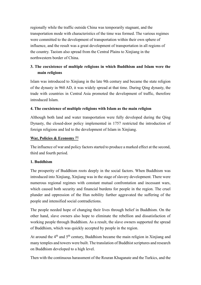regionally while the traffic outside China was temporarily stagnant, and the transportation mode with characteristics of the time was formed. The various regimes were committed to the development of transportation within their own sphere of influence, and the result was a great development of transportation in all regions of the country. Taoism also spread from the Central Plains to Xinjiang in the northwestern border of China.

# **3. The coexistence of multiple religions in which Buddhism and Islam were the main religions**

Islam was introduced to Xinjiang in the late 9th century and became the state religion of the dynasty in 960 AD, it was widely spread at that time. During Qing dynasty, the trade with countries in Central Asia promoted the development of traffic, therefore introduced Islam.

#### **4. The coexistence of multiple religions with Islam as the main religion**

Although both land and water transportation were fully developed during the Qing Dynasty, the closed-door policy implemented in 1757 restricted the introduction of foreign religions and led to the development of Islam in Xinjiang.

#### **War, Policies & Economy [1]**

The influence of war and policy factors started to produce a marked effect at the second, third and fourth period.

#### **1. Buddhism**

The prosperity of Buddhism roots deeply in the social factors. When Buddhism was introduced into Xinjiang, Xinjiang was in the stage of slavery development. There were numerous regional regimes with constant mutual confrontation and incessant wars, which caused both security and financial burdens for people in the region. The cruel plunder and oppression of the Hun nobility further aggravated the suffering of the people and intensified social contradictions.

The people needed hope of changing their lives through belief in Buddhism. On the other hand, slave owners also hope to eliminate the rebellion and dissatisfaction of working people through Buddhism. As a result, the slave owners supported the spread of Buddhism, which was quickly accepted by people in the region.

At around the  $4<sup>th</sup>$  and  $5<sup>th</sup>$  century, Buddhism became the main religion in Xinjiang and many temples and towers were built. The translation of Buddhist scriptures and research on Buddhism developed to a high level.

Then with the continuous harassment of the Rouran Khaganate and the Turkics, and the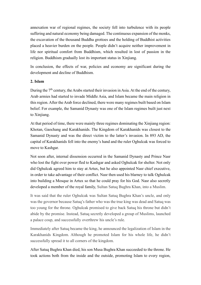annexation war of regional regimes, the society fell into turbulence with its people suffering and natural economy being damaged. The continuous expansion of the monks, the excavation of the thousand Buddha grottoes and the holding of Buddhist activities placed a heavier burden on the people. People didn't acquire neither improvement in life nor spiritual comfort from Buddhism, which resulted in lost of passion in the religion. Buddhism gradually lost its important status in Xinjiang.

In conclusion, the effects of war, policies and economy are significant during the development and decline of Buddhism.

#### **2. Islam**

During the  $7<sup>th</sup>$  century, the Arabs started their invasion in Asia. At the end of the century, Arab armies had started to invade Middle Asia, and Islam became the main religion in this region. After the Arab force declined, there were many regimes built based on Islam belief. For example, the Samanid Dynasty was one of the Islam regimes built just next to Xinjiang.

At that period of time, there were mainly three regimes dominating the Xinjiang region: Khotan, Gaochang and Karakhanids. The Kingdom of Karakhanids was closest to the Samanid Dynasty and was the direct victim to the latter's invasion. In 893 AD, the capital of Karakhanids fell into the enemy's hand and the ruler Oghulcak was forced to move to Kashgar.

Not soon after, internal dissension occurred in the Samanid Dynasty and Prince Nasr who lost the fight over power fled to Kashgar and asked Oghulcak for shelter. Not only did Oghulcak agreed him to stay at Artux, but he also appointed Nasr chief executive, in order to take advantage of their conflict. Nasr then used his blarney to talk Oghulcak into building a Mosque in Artux so that he could pray for his God. Nasr also secretly developed a member of the royal family, Sultan Satuq Bughra Khan, into a Muslim.

It was said that the ruler Oghulcak was Sultan Satuq Bughra Khan's uncle, and only was the governor because Satuq's father who was the true king was dead and Satuq was too young for the throne. Oghulcak promised to give back Satuq his throne but didn't abide by the promise. Instead, Satuq secretly developed a group of Muslims, launched a palace coup, and successfully overthrew his uncle's rule.

Immediately after Satuq became the king, he announced the legalization of Islam in the Karakhanids Kingdom. Although he promoted Islam for his whole life, he didn't successfully spread it to all corners of the kingdom.

After Satuq Bughra Khan died, his son Musa Bughra Khan succeeded to the throne. He took actions both from the inside and the outside, promoting Islam to every region,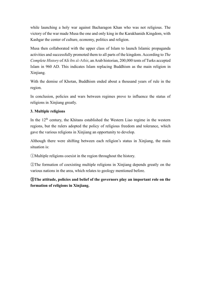while launching a holy war against Bacharagon Khan who was not religious. The victory of the war made Musa the one and only king in the Karakhanids Kingdom, with Kashgar the center of culture, economy, politics and religion.

Musa then collaborated with the upper class of Islam to launch Islamic propaganda activities and successfully promoted them to all parts of the kingdom. According to *The Complete History* of Ali ibn al-Athir, an Arab historian, 200,000 tents of Turks accepted Islam in 960 AD. This indicates Islam replacing Buddhism as the main religion in Xinjiang.

With the demise of Khotan, Buddhism ended about a thousand years of rule in the region.

In conclusion, policies and wars between regimes prove to influence the status of religions in Xinjiang greatly.

#### **3. Multiple religions**

In the  $12<sup>th</sup>$  century, the Khitans established the Western Liao regime in the western regions, but the rulers adopted the policy of religious freedom and tolerance, which gave the various religions in Xinjiang an opportunity to develop.

Although there were shifting between each religion's status in Xinjiang, the main situation is:

①Multiple religions coexist in the region throughout the history.

②The formation of coexisting multiple religions in Xinjiang depends greatly on the various nations in the area, which relates to geology mentioned before.

③**The attitude, policies and belief of the governors play an important role on the formation of religions in Xinjiang.**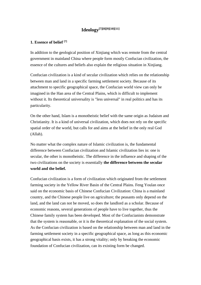# **Ideology[7][8][9][10][11]**

#### **1. Essence of belief [7]**

In addition to the geological position of Xinjiang which was remote from the central government in mainland China where people form mostly Confucian civilization, the essence of the cultures and beliefs also explain the religious situation in Xinjiang.

Confucian civilization is a kind of secular civilization which relies on the relationship between man and land in a specific farming settlement society. Because of its attachment to specific geographical space, the Confucian world view can only be imagined in the Han area of the Central Plains, which is difficult to implement without it. Its theoretical universality is "less universal" in real politics and has its particularity.

On the other hand, Islam is a monotheistic belief with the same origin as Judaism and Christianity. It is a kind of universal civilization, which does not rely on the specific spatial order of the world, but calls for and aims at the belief in the only real God (Allah).

No matter what the complex nature of Islamic civilization is, the fundamental difference between Confucian civilization and Islamic civilization lies in: one is secular, the other is monotheistic. The difference in the influence and shaping of the two civilizations on the society is essentially **the difference between the secular world and the belief.** 

Confucian civilization is a form of civilization which originated from the settlement farming society in the Yellow River Basin of the Central Plains. Feng Youlan once said on the economic basis of Chinese Confucian Civilization: China is a mainland country, and the Chinese people live on agriculture; the peasants only depend on the land, and the land can not be moved, so does the landlord as a scholar. Because of economic reasons, several generations of people have to live together, thus the Chinese family system has been developed. Most of the Confucianists demonstrate that the system is reasonable, or it is the theoretical explanation of the social system. As the Confucian civilization is based on the relationship between man and land in the farming settlement society in a specific geographical space, as long as this economic geographical basis exists, it has a strong vitality; only by breaking the economic foundation of Confucian civilization, can its existing form be changed.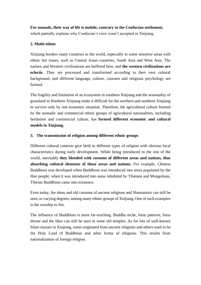**For nomads, their way of life is mobile, contrary to the Confucian settlement**,

which partially explains why Confucian's view wasn't accepted in Xinjiang.

## **2. Multi-ethnic**

Xinjiang borders many countries in the world, especially in some sensitive areas with ethnic hot issues, such as Central Asian countries, South Asia and West Asia. The eastern and Western civilizations are buffered here, and **the western civilizations are eclectic**. They are processed and transformed according to their own cultural background, and different language, culture, customs and religious psychology are formed.

The fragility and limitation of an ecosystem in southern Xinjiang and the seasonality of grassland in Northern Xinjiang make it difficult for the northern and southern Xinjiang to survive only by one economic situation. Therefore, the agricultural culture formed by the nomadic and commercial ethnic groups of agricultural nationalities, including herdsmen and commercial culture, has **formed different economic and cultural models in Xinjiang.**

#### **3. The transmission of religion among different ethnic groups**

Different cultural contexts give birth to different types of religion with obvious local characteristics during early development. While being introduced to the rest of the world, inevitably **they blended with customs of different areas and nations, thus absorbing cultural elements of those areas and nations.** For example, Chinese Buddhism was developed when Buddhism was introduced into areas populated by the Han people; when it was introduced into areas inhabited by Tibetans and Mongolians, Tibetan Buddhism came into existence.

Even today, the ideas and old customs of ancient religions and Shamanism can still be seen, to varying degrees, among many ethnic groups of Xinjiang. One of such examples is the worship to fire.

The influence of Buddhism is more far-reaching. Buddha niche, lotus patterns, lotus throne and the likes can still be seen in some old temples. As for lots of well-known Islam mazars in Xinjiang, some originated from ancient religions and others used to be the Holy Land of Buddhism and other forms of religions. This results from nationalization of foreign religion.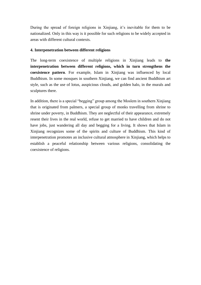During the spread of foreign religions in Xinjiang, it's inevitable for them to be nationalized. Only in this way is it possible for such religions to be widely accepted in areas with different cultural contexts.

#### **4. Interpenetration between different religions**

The long-term coexistence of multiple religions in Xinjiang leads to **the interpenetration between different religions, which in turn strengthens the coexistence pattern**. For example, Islam in Xinjiang was influenced by local Buddhism. In some mosques in southern Xinjiang, we can find ancient Buddhism art style, such as the use of lotus, auspicious clouds, and golden halo, in the murals and sculptures there.

In addition, there is a special "begging" group among the Moslem in southern Xinjiang that is originated from palmers, a special group of monks travelling from shrine to shrine under poverty, in Buddhism. They are neglectful of their appearance, extremely resent their lives in the real world, refuse to get married to have children and do not have jobs, just wandering all day and begging for a living. It shows that Islam in Xinjiang recognizes some of the spirits and culture of Buddhism. This kind of interpenetration promotes an inclusive cultural atmosphere in Xinjiang, which helps to establish a peaceful relationship between various religions, consolidating the coexistence of religions.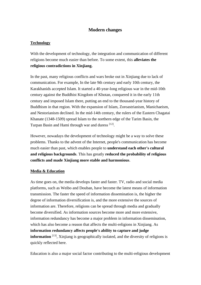# **Modern changes**

#### **Technology**

With the development of technology, the integration and communication of different religions become much easier than before. To some extent, this **alleviates the religious contradictions in Xinjiang.**

In the past, many religious conflicts and wars broke out in Xinjiang due to lack of communication. For example, In the late 9th century and early 10th century, the Karakhanids accepted Islam. It started a 40-year-long religious war in the mid-10th century against the Buddhist Kingdom of Khotan, conquered it in the early 11th century and imposed Islam there, putting an end to the thousand-year history of Buddhism in that region. With the expansion of Islam, Zoroastrianism, Manichaeism, and Nestorianism declined. In the mid-14th century, the rulers of the Eastern Chagatai Khanate (1348-1509) spread Islam to the northern edge of the Tarim Basin, the Turpan Basin and Hami through war and duress [12].

However, nowadays the development of technology might be a way to solve these problems. Thanks to the advent of the Internet, people's communication has become much easier than past, which enables people to **understand each other's cultural and religious backgrounds**. This has greatly **reduced the probability of religious conflicts and made Xinjiang more stable and harmonious**.

#### **Media & Education**

As time goes on, the media develops faster and faster. TV, radio and social media platforms, such as Weibo and Douban, have become the latest means of information transmission. The faster the speed of information dissemination is, the higher the degree of information diversification is, and the more extensive the sources of information are. Therefore, religions can be spread through media and gradually become diversified. As information sources become more and more extensive, information redundancy has become a major problem in information dissemination, which has also become a reason that affects the multi-religions in Xinjiang. As **information redundancy affects people's ability to capture and judge information** [13], Xinjiang is geographically isolated, and the diversity of religions is quickly reflected here.

Education is also a major social factor contributing to the multi-religious development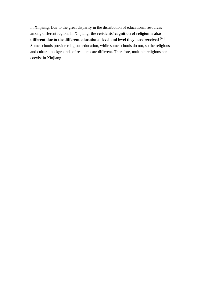in Xinjiang. Due to the great disparity in the distribution of educational resources among different regions in Xinjiang, **the residents' cognition of religion is also different due to the different educational level and level they have received** [14] . Some schools provide religious education, while some schools do not, so the religious and cultural backgrounds of residents are different. Therefore, multiple religions can coexist in Xinjiang.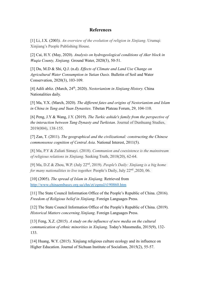# **References**

[1] Li, J.X. (2003*). An overview of the evolution of religion in Xinjiang*. Urumqi: Xinjiang's People Publishing House.

[2] Cai, H.Y. (May, 2020). *Analysis on hydrogeological conditions of Aker block in Wuqia County, Xinjiang.* Ground Water, 2020(3), 50-51.

[3] Du, M.D & Shi, Q.J. (n.d). *Effects of Climate and Land Use Change on Agricultural Water Consumption in Yutian Oasis.* Bulletin of Soil and Water Conservation, 2020(3), 103-109.

[4] Adili abliz. (March, 24th, 2020). *Nestorianism in Xinjiang History.* China Nationalities daily.

[5] Ma, Y.X. (March, 2020). *The different fates and origins of Nestorianism and Islam in China in Tang and Yuan Dynasties.* Tibetan Plateau Forum, 29, 104-110.

[6] Peng, J.Y & Wang, J.Y. (2019). *The Turkic ashide's family from the perspective of the interaction between Tang Dynasty and Turkistan*. Journal of Dunhuang Studies, 2019(004), 138-155.

[7] Zan, T. (2011). *The geographical and the civilizational: constructing the Chinese commonsense cognition of Central Asia*. National Interest, 2011(5).

[8] Ma, P.Y & Zuliati Simayi. (2018). *Communion and coexistence is the mainstream of religious relations in Xinjiang*. Seeking Truth, 2018(20), 62-64.

[9] Ma, D.Z & Zhou, W.P. (July 22nd, 2019). *People's Daily: Xinjiang is a big home for many nationalities to live together.* People's Daily, July 22nd ,2020, 06.

[10] (2005). *The spread of Islam in Xinjiang.* Retrieved from <http://www.chinaembassy.org.sa/chn/zt/zgmsl/t190860.htm>

[11] The State Council Information Office of the People's Republic of China. (2016). *Freedom of Religious belief in Xinjiang*. Foreign Languages Press.

[12] The State Council Information Office of the People's Republic of China. (2019). *Historical Matters concerning Xinjiang*. Foreign Languages Press.

[13] Feng, X.Z. (2015). *A study on the influence of new media on the cultural communication of ethnic minorities in Xinjiang*. Today's Massmedia, 2015(9), 132- 133.

[14] Huang, W.Y. (2015). Xinjiang religious culture ecology and its influence on Higher Education. Journal of Sichuan Institute of Socialism, 2015(2), 55-57.